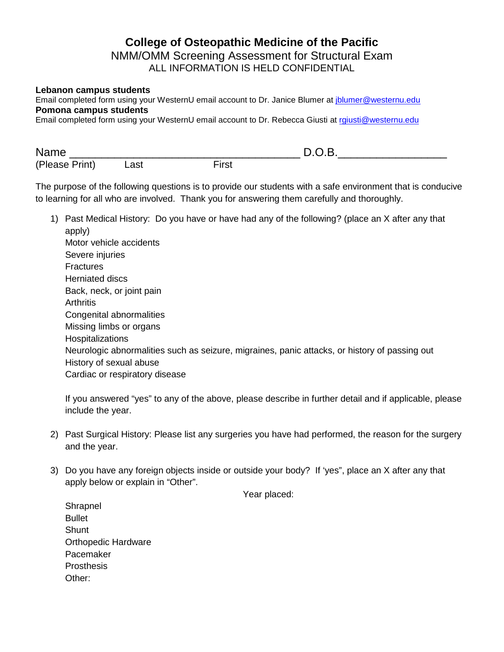## **College of Osteopathic Medicine of the Pacific** NMM/OMM Screening Assessment for Structural Exam ALL INFORMATION IS HELD CONFIDENTIAL

## **Lebanon campus students**

Email completed form using your WesternU email account to Dr. Janice Blumer at *jblumer@westernu.edu* **Pomona campus students**

Email completed form using your WesternU email account to Dr. Rebecca Giusti at [rgiusti@westernu.edu](mailto:rgiusti@westernu.edu)

| Name           |      |       |  |
|----------------|------|-------|--|
| (Please Print) | Last | ์irsเ |  |

The purpose of the following questions is to provide our students with a safe environment that is conducive to learning for all who are involved. Thank you for answering them carefully and thoroughly.

1) Past Medical History: Do you have or have had any of the following? (place an X after any that apply) Motor vehicle accidents Severe injuries **Fractures** Herniated discs Back, neck, or joint pain **Arthritis** Congenital abnormalities Missing limbs or organs Hospitalizations Neurologic abnormalities such as seizure, migraines, panic attacks, or history of passing out History of sexual abuse Cardiac or respiratory disease

If you answered "yes" to any of the above, please describe in further detail and if applicable, please include the year.

- 2) Past Surgical History: Please list any surgeries you have had performed, the reason for the surgery and the year.
- 3) Do you have any foreign objects inside or outside your body? If 'yes", place an X after any that apply below or explain in "Other".

Year placed:

**Shrapnel** Bullet **Shunt** Orthopedic Hardware Pacemaker **Prosthesis** Other: